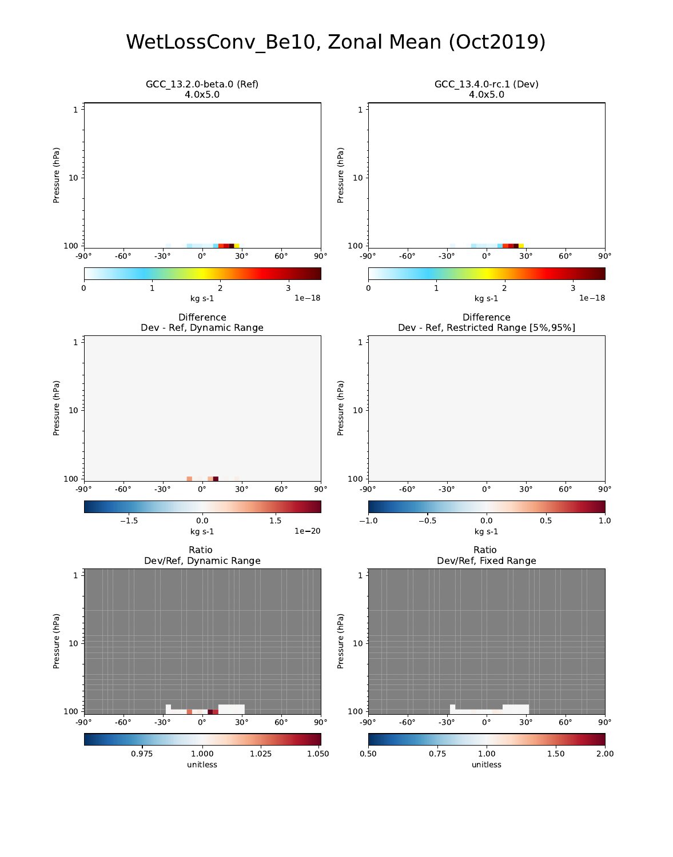### WetLossConv\_Be10, Zonal Mean (Oct2019)

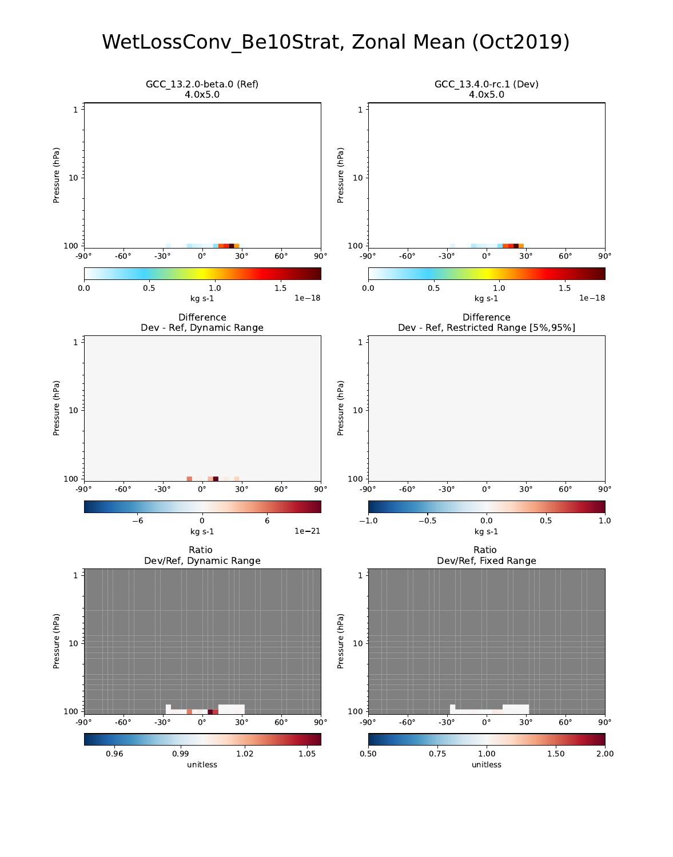### WetLossConv\_Be10Strat, Zonal Mean (Oct2019)

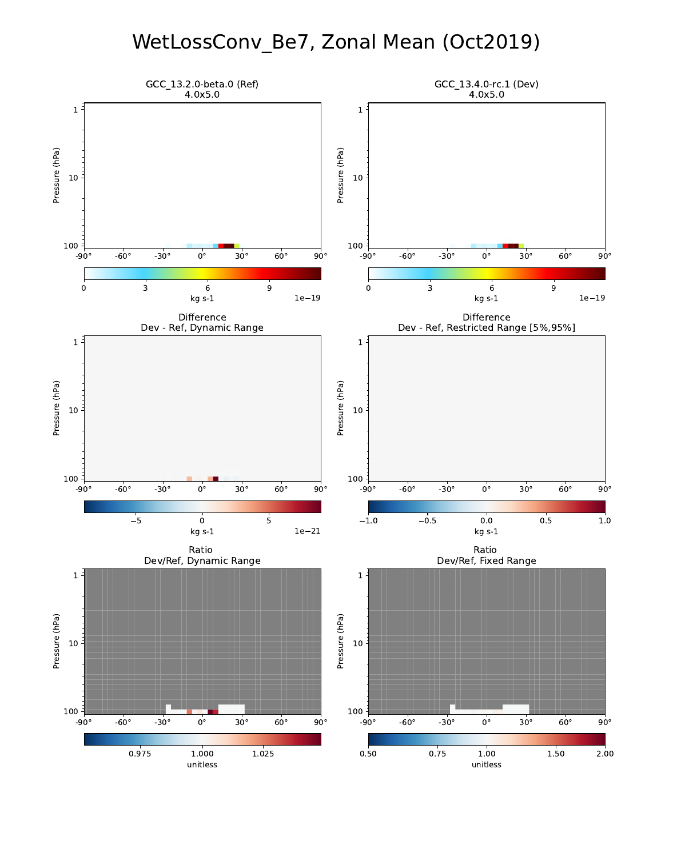## WetLossConv\_Be7, Zonal Mean (Oct2019)

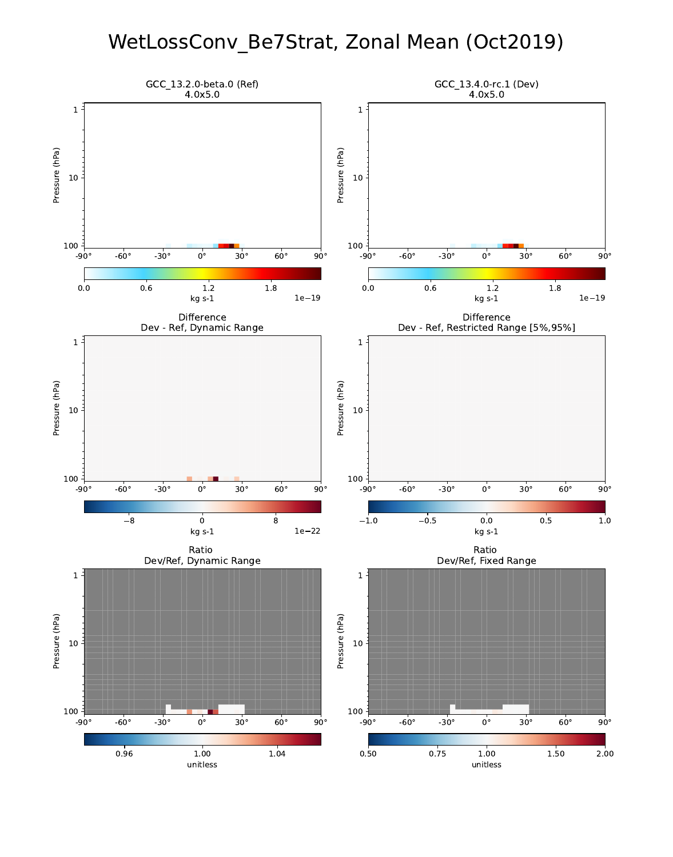### WetLossConv\_Be7Strat, Zonal Mean (Oct2019)

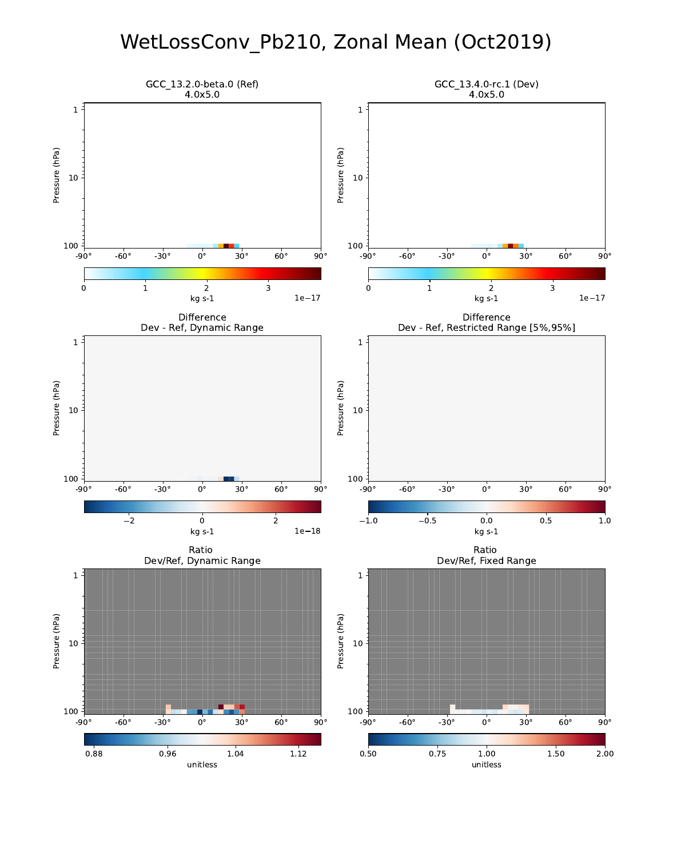## WetLossConv\_Pb210, Zonal Mean (Oct2019)